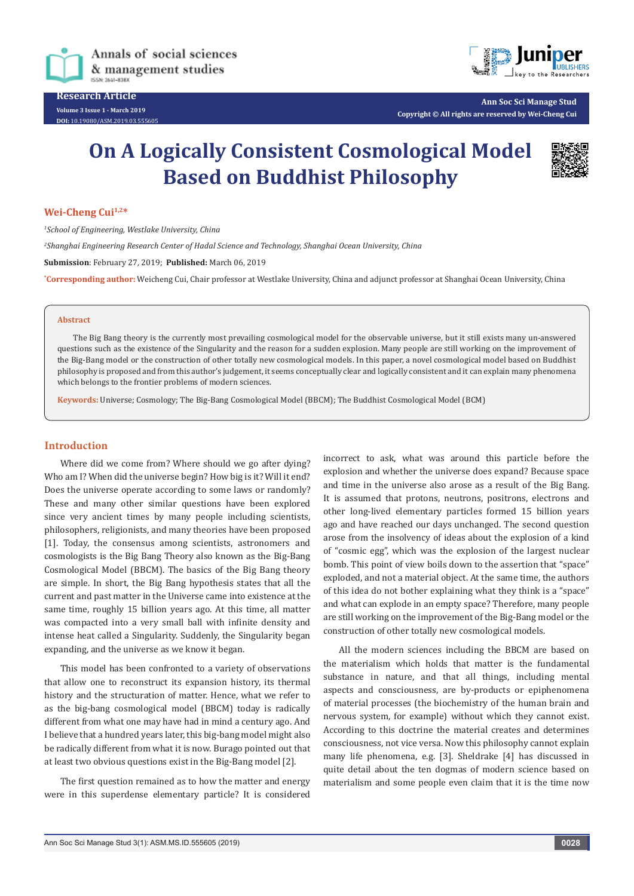

**Research Article Volume 3 Issue 1 - March 2019 DOI:** [10.19080/ASM.2019.03.555605](http://dx.doi.org/10.19080/ASM.2019.03.555605)



**Ann Soc Sci Manage Stud Copyright © All rights are reserved by Wei-Cheng Cui**

# **On A Logically Consistent Cosmological Model Based on Buddhist Philosophy**



#### **Wei-Cheng Cui1,2\***

*1 School of Engineering, Westlake University, China 2 Shanghai Engineering Research Center of Hadal Science and Technology, Shanghai Ocean University, China* **Submission**: February 27, 2019; **Published:** March 06, 2019 **\* Corresponding author:** Weicheng Cui, Chair professor at Westlake University, China and adjunct professor at Shanghai Ocean University, China

#### **Abstract**

The Big Bang theory is the currently most prevailing cosmological model for the observable universe, but it still exists many un-answered questions such as the existence of the Singularity and the reason for a sudden explosion. Many people are still working on the improvement of the Big-Bang model or the construction of other totally new cosmological models. In this paper, a novel cosmological model based on Buddhist philosophy is proposed and from this author's judgement, it seems conceptually clear and logically consistent and it can explain many phenomena which belongs to the frontier problems of modern sciences.

**Keywords:** Universe; Cosmology; The Big-Bang Cosmological Model (BBCM); The Buddhist Cosmological Model (BCM)

#### **Introduction**

Where did we come from? Where should we go after dying? Who am I? When did the universe begin? How big is it? Will it end? Does the universe operate according to some laws or randomly? These and many other similar questions have been explored since very ancient times by many people including scientists, philosophers, religionists, and many theories have been proposed [1]. Today, the consensus among scientists, astronomers and cosmologists is the Big Bang Theory also known as the Big-Bang Cosmological Model (BBCM). The basics of the Big Bang theory are simple. In short, the Big Bang hypothesis states that all the current and past matter in the Universe came into existence at the same time, roughly 15 billion years ago. At this time, all matter was compacted into a very small ball with infinite density and intense heat called a Singularity. Suddenly, the Singularity began expanding, and the universe as we know it began.

This model has been confronted to a variety of observations that allow one to reconstruct its expansion history, its thermal history and the structuration of matter. Hence, what we refer to as the big-bang cosmological model (BBCM) today is radically different from what one may have had in mind a century ago. And I believe that a hundred years later, this big-bang model might also be radically different from what it is now. Burago pointed out that at least two obvious questions exist in the Big-Bang model [2].

The first question remained as to how the matter and energy were in this superdense elementary particle? It is considered

incorrect to ask, what was around this particle before the explosion and whether the universe does expand? Because space and time in the universe also arose as a result of the Big Bang. It is assumed that protons, neutrons, positrons, electrons and other long-lived elementary particles formed 15 billion years ago and have reached our days unchanged. The second question arose from the insolvency of ideas about the explosion of a kind of "cosmic egg", which was the explosion of the largest nuclear bomb. This point of view boils down to the assertion that "space" exploded, and not a material object. At the same time, the authors of this idea do not bother explaining what they think is a "space" and what can explode in an empty space? Therefore, many people are still working on the improvement of the Big-Bang model or the construction of other totally new cosmological models.

All the modern sciences including the BBCM are based on the materialism which holds that matter is the fundamental substance in nature, and that all things, including mental aspects and consciousness, are by-products or epiphenomena of material processes (the biochemistry of the human brain and nervous system, for example) without which they cannot exist. According to this doctrine the material creates and determines consciousness, not vice versa. Now this philosophy cannot explain many life phenomena, e.g. [3]. Sheldrake [4] has discussed in quite detail about the ten dogmas of modern science based on materialism and some people even claim that it is the time now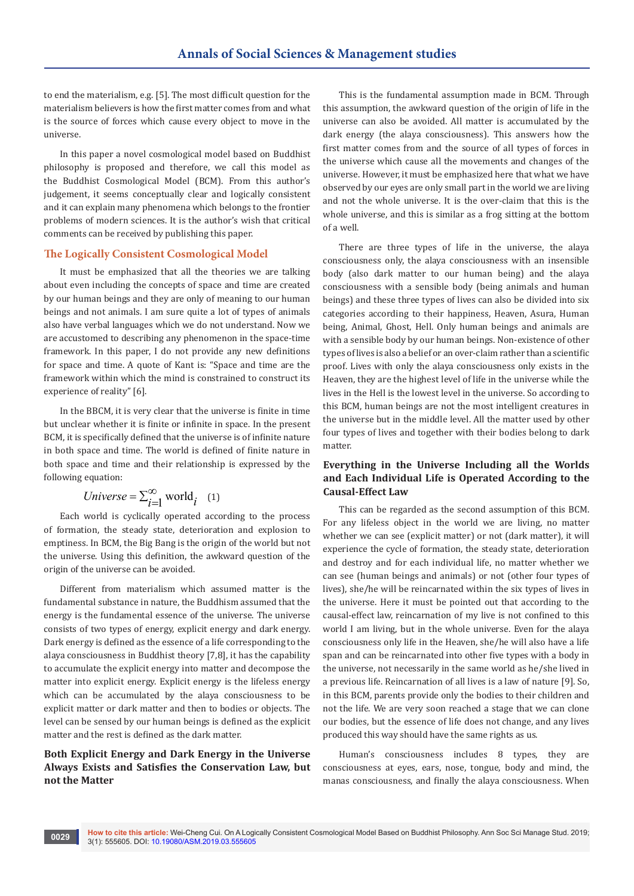to end the materialism, e.g. [5]. The most difficult question for the materialism believers is how the first matter comes from and what is the source of forces which cause every object to move in the universe.

In this paper a novel cosmological model based on Buddhist philosophy is proposed and therefore, we call this model as the Buddhist Cosmological Model (BCM). From this author's judgement, it seems conceptually clear and logically consistent and it can explain many phenomena which belongs to the frontier problems of modern sciences. It is the author's wish that critical comments can be received by publishing this paper.

# **The Logically Consistent Cosmological Model**

It must be emphasized that all the theories we are talking about even including the concepts of space and time are created by our human beings and they are only of meaning to our human beings and not animals. I am sure quite a lot of types of animals also have verbal languages which we do not understand. Now we are accustomed to describing any phenomenon in the space-time framework. In this paper, I do not provide any new definitions for space and time. A quote of Kant is: "Space and time are the framework within which the mind is constrained to construct its experience of reality" [6].

In the BBCM, it is very clear that the universe is finite in time but unclear whether it is finite or infinite in space. In the present BCM, it is specifically defined that the universe is of infinite nature in both space and time. The world is defined of finite nature in both space and time and their relationship is expressed by the following equation:

$$
Universe = \sum_{i=1}^{\infty} \text{world}_i \quad (1)
$$

Each world is cyclically operated according to the process of formation, the steady state, deterioration and explosion to emptiness. In BCM, the Big Bang is the origin of the world but not the universe. Using this definition, the awkward question of the origin of the universe can be avoided.

Different from materialism which assumed matter is the fundamental substance in nature, the Buddhism assumed that the energy is the fundamental essence of the universe. The universe consists of two types of energy, explicit energy and dark energy. Dark energy is defined as the essence of a life corresponding to the alaya consciousness in Buddhist theory [7,8], it has the capability to accumulate the explicit energy into matter and decompose the matter into explicit energy. Explicit energy is the lifeless energy which can be accumulated by the alaya consciousness to be explicit matter or dark matter and then to bodies or objects. The level can be sensed by our human beings is defined as the explicit matter and the rest is defined as the dark matter.

# **Both Explicit Energy and Dark Energy in the Universe Always Exists and Satisfies the Conservation Law, but not the Matter**

This is the fundamental assumption made in BCM. Through this assumption, the awkward question of the origin of life in the universe can also be avoided. All matter is accumulated by the dark energy (the alaya consciousness). This answers how the first matter comes from and the source of all types of forces in the universe which cause all the movements and changes of the universe. However, it must be emphasized here that what we have observed by our eyes are only small part in the world we are living and not the whole universe. It is the over-claim that this is the whole universe, and this is similar as a frog sitting at the bottom of a well.

There are three types of life in the universe, the alaya consciousness only, the alaya consciousness with an insensible body (also dark matter to our human being) and the alaya consciousness with a sensible body (being animals and human beings) and these three types of lives can also be divided into six categories according to their happiness, Heaven, Asura, Human being, Animal, Ghost, Hell. Only human beings and animals are with a sensible body by our human beings. Non-existence of other types of lives is also a belief or an over-claim rather than a scientific proof. Lives with only the alaya consciousness only exists in the Heaven, they are the highest level of life in the universe while the lives in the Hell is the lowest level in the universe. So according to this BCM, human beings are not the most intelligent creatures in the universe but in the middle level. All the matter used by other four types of lives and together with their bodies belong to dark matter.

# **Everything in the Universe Including all the Worlds and Each Individual Life is Operated According to the Causal-Effect Law**

This can be regarded as the second assumption of this BCM. For any lifeless object in the world we are living, no matter whether we can see (explicit matter) or not (dark matter), it will experience the cycle of formation, the steady state, deterioration and destroy and for each individual life, no matter whether we can see (human beings and animals) or not (other four types of lives), she/he will be reincarnated within the six types of lives in the universe. Here it must be pointed out that according to the causal-effect law, reincarnation of my live is not confined to this world I am living, but in the whole universe. Even for the alaya consciousness only life in the Heaven, she/he will also have a life span and can be reincarnated into other five types with a body in the universe, not necessarily in the same world as he/she lived in a previous life. Reincarnation of all lives is a law of nature [9]. So, in this BCM, parents provide only the bodies to their children and not the life. We are very soon reached a stage that we can clone our bodies, but the essence of life does not change, and any lives produced this way should have the same rights as us.

Human's consciousness includes 8 types, they are consciousness at eyes, ears, nose, tongue, body and mind, the manas consciousness, and finally the alaya consciousness. When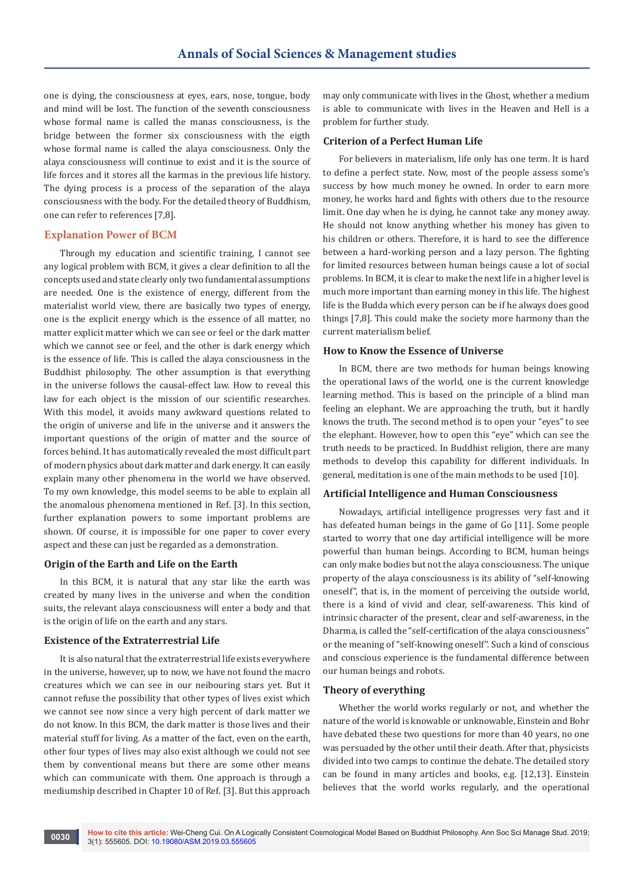one is dying, the consciousness at eyes, ears, nose, tongue, body and mind will be lost. The function of the seventh consciousness whose formal name is called the manas consciousness, is the bridge between the former six consciousness with the eigth whose formal name is called the alaya consciousness. Only the alaya consciousness will continue to exist and it is the source of life forces and it stores all the karmas in the previous life history. The dying process is a process of the separation of the alaya consciousness with the body. For the detailed theory of Buddhism, one can refer to references [7,8].

## **Explanation Power of BCM**

Through my education and scientific training, I cannot see any logical problem with BCM, it gives a clear definition to all the concepts used and state clearly only two fundamental assumptions are needed. One is the existence of energy, different from the materialist world view, there are basically two types of energy, one is the explicit energy which is the essence of all matter, no matter explicit matter which we can see or feel or the dark matter which we cannot see or feel, and the other is dark energy which is the essence of life. This is called the alaya consciousness in the Buddhist philosophy. The other assumption is that everything in the universe follows the causal-effect law. How to reveal this law for each object is the mission of our scientific researches. With this model, it avoids many awkward questions related to the origin of universe and life in the universe and it answers the important questions of the origin of matter and the source of forces behind. It has automatically revealed the most difficult part of modern physics about dark matter and dark energy. It can easily explain many other phenomena in the world we have observed. To my own knowledge, this model seems to be able to explain all the anomalous phenomena mentioned in Ref. [3]. In this section, further explanation powers to some important problems are shown. Of course, it is impossible for one paper to cover every aspect and these can just be regarded as a demonstration.

## **Origin of the Earth and Life on the Earth**

In this BCM, it is natural that any star like the earth was created by many lives in the universe and when the condition suits, the relevant alaya consciousness will enter a body and that is the origin of life on the earth and any stars.

## **Existence of the Extraterrestrial Life**

It is also natural that the extraterrestrial life exists everywhere in the universe, however, up to now, we have not found the macro creatures which we can see in our neibouring stars yet. But it cannot refuse the possibility that other types of lives exist which we cannot see now since a very high percent of dark matter we do not know. In this BCM, the dark matter is those lives and their material stuff for living. As a matter of the fact, even on the earth, other four types of lives may also exist although we could not see them by conventional means but there are some other means which can communicate with them. One approach is through a mediumship described in Chapter 10 of Ref. [3]. But this approach

may only communicate with lives in the Ghost, whether a medium is able to communicate with lives in the Heaven and Hell is a problem for further study.

## **Criterion of a Perfect Human Life**

For believers in materialism, life only has one term. It is hard to define a perfect state. Now, most of the people assess some's success by how much money he owned. In order to earn more money, he works hard and fights with others due to the resource limit. One day when he is dying, he cannot take any money away. He should not know anything whether his money has given to his children or others. Therefore, it is hard to see the difference between a hard-working person and a lazy person. The fighting for limited resources between human beings cause a lot of social problems. In BCM, it is clear to make the next life in a higher level is much more important than earning money in this life. The highest life is the Budda which every person can be if he always does good things [7,8]. This could make the society more harmony than the current materialism belief.

#### **How to Know the Essence of Universe**

In BCM, there are two methods for human beings knowing the operational laws of the world, one is the current knowledge learning method. This is based on the principle of a blind man feeling an elephant. We are approaching the truth, but it hardly knows the truth. The second method is to open your "eyes" to see the elephant. However, how to open this "eye" which can see the truth needs to be practiced. In Buddhist religion, there are many methods to develop this capability for different individuals. In general, meditation is one of the main methods to be used [10].

# **Artificial Intelligence and Human Consciousness**

Nowadays, artificial intelligence progresses very fast and it has defeated human beings in the game of Go [11]. Some people started to worry that one day artificial intelligence will be more powerful than human beings. According to BCM, human beings can only make bodies but not the alaya consciousness. The unique property of the alaya consciousness is its ability of "self-knowing oneself", that is, in the moment of perceiving the outside world, there is a kind of vivid and clear, self-awareness. This kind of intrinsic character of the present, clear and self-awareness, in the Dharma, is called the "self-certification of the alaya consciousness" or the meaning of "self-knowing oneself". Such a kind of conscious and conscious experience is the fundamental difference between our human beings and robots.

#### **Theory of everything**

Whether the world works regularly or not, and whether the nature of the world is knowable or unknowable, Einstein and Bohr have debated these two questions for more than 40 years, no one was persuaded by the other until their death. After that, physicists divided into two camps to continue the debate. The detailed story can be found in many articles and books, e.g. [12,13]. Einstein believes that the world works regularly, and the operational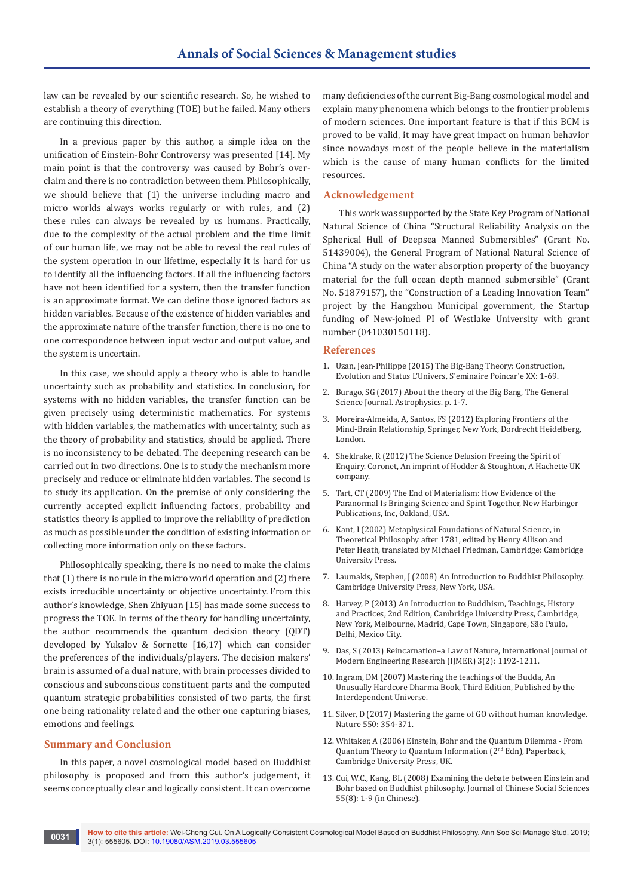law can be revealed by our scientific research. So, he wished to establish a theory of everything (TOE) but he failed. Many others are continuing this direction.

In a previous paper by this author, a simple idea on the unification of Einstein-Bohr Controversy was presented [14]. My main point is that the controversy was caused by Bohr's overclaim and there is no contradiction between them. Philosophically, we should believe that (1) the universe including macro and micro worlds always works regularly or with rules, and (2) these rules can always be revealed by us humans. Practically, due to the complexity of the actual problem and the time limit of our human life, we may not be able to reveal the real rules of the system operation in our lifetime, especially it is hard for us to identify all the influencing factors. If all the influencing factors have not been identified for a system, then the transfer function is an approximate format. We can define those ignored factors as hidden variables. Because of the existence of hidden variables and the approximate nature of the transfer function, there is no one to one correspondence between input vector and output value, and the system is uncertain.

In this case, we should apply a theory who is able to handle uncertainty such as probability and statistics. In conclusion, for systems with no hidden variables, the transfer function can be given precisely using deterministic mathematics. For systems with hidden variables, the mathematics with uncertainty, such as the theory of probability and statistics, should be applied. There is no inconsistency to be debated. The deepening research can be carried out in two directions. One is to study the mechanism more precisely and reduce or eliminate hidden variables. The second is to study its application. On the premise of only considering the currently accepted explicit influencing factors, probability and statistics theory is applied to improve the reliability of prediction as much as possible under the condition of existing information or collecting more information only on these factors.

Philosophically speaking, there is no need to make the claims that (1) there is no rule in the micro world operation and (2) there exists irreducible uncertainty or objective uncertainty. From this author's knowledge, Shen Zhiyuan [15] has made some success to progress the TOE. In terms of the theory for handling uncertainty, the author recommends the quantum decision theory (QDT) developed by Yukalov & Sornette [16,17] which can consider the preferences of the individuals/players. The decision makers' brain is assumed of a dual nature, with brain processes divided to conscious and subconscious constituent parts and the computed quantum strategic probabilities consisted of two parts, the first one being rationality related and the other one capturing biases, emotions and feelings.

## **Summary and Conclusion**

In this paper, a novel cosmological model based on Buddhist philosophy is proposed and from this author's judgement, it seems conceptually clear and logically consistent. It can overcome

many deficiencies of the current Big-Bang cosmological model and explain many phenomena which belongs to the frontier problems of modern sciences. One important feature is that if this BCM is proved to be valid, it may have great impact on human behavior since nowadays most of the people believe in the materialism which is the cause of many human conflicts for the limited resources.

#### **Acknowledgement**

This work was supported by the State Key Program of National Natural Science of China "Structural Reliability Analysis on the Spherical Hull of Deepsea Manned Submersibles" (Grant No. 51439004), the General Program of National Natural Science of China "A study on the water absorption property of the buoyancy material for the full ocean depth manned submersible" (Grant No. 51879157), the "Construction of a Leading Innovation Team" project by the Hangzhou Municipal government, the Startup funding of New-joined PI of Westlake University with grant number (041030150118).

#### **References**

- 1. [Uzan, Jean-Philippe \(2015\) The Big-Bang Theory: Construction,](http://www.bourbaphy.fr/Uzan.pdf)  [Evolution and Status L'Univers, S´eminaire Poincar´e XX: 1-69.](http://www.bourbaphy.fr/Uzan.pdf)
- 2. Burago, SG (2017) About the theory of the Big Bang, The General Science Journal. Astrophysics. p. 1-7.
- 3. Moreira-Almeida, A, Santos, FS (2012) Exploring Frontiers of the Mind-Brain Relationship, Springer, New York, Dordrecht Heidelberg, London.
- 4. Sheldrake, R (2012) The Science Delusion Freeing the Spirit of Enquiry. Coronet, An imprint of Hodder & Stoughton, A Hachette UK company.
- 5. Tart, CT (2009) The End of Materialism: How Evidence of the Paranormal Is Bringing Science and Spirit Together, New Harbinger Publications, Inc, Oakland, USA.
- 6. Kant, I (2002) Metaphysical Foundations of Natural Science, in Theoretical Philosophy after 1781, edited by Henry Allison and Peter Heath, translated by Michael Friedman, Cambridge: Cambridge University Press.
- 7. Laumakis, Stephen, J (2008) An Introduction to Buddhist Philosophy. Cambridge University Press, New York, USA.
- 8. Harvey, P (2013) An Introduction to Buddhism, Teachings, History and Practices, 2nd Edition, Cambridge University Press, Cambridge, New York, Melbourne, Madrid, Cape Town, Singapore, São Paulo, Delhi, Mexico City.
- 9. [Das, S \(2013\) Reincarnation–a Law of Nature, International Journal of](http://www.ijmer.com/papers/Vol3_Issue2/DV3211921211.pdf)  [Modern Engineering Research \(IJMER\) 3\(2\): 1192-1211.](http://www.ijmer.com/papers/Vol3_Issue2/DV3211921211.pdf)
- 10. Ingram, DM (2007) Mastering the teachings of the Budda, An Unusually Hardcore Dharma Book, Third Edition, Published by the Interdependent Universe.
- 11. [Silver, D \(2017\) Mastering the game of GO without human knowledge.](https://www.nature.com/articles/nature24270)  [Nature 550: 354-371.](https://www.nature.com/articles/nature24270)
- 12. Whitaker, A (2006) Einstein, Bohr and the Quantum Dilemma From Quantum Theory to Quantum Information (2nd Edn), Paperback, Cambridge University Press, UK.
- 13. Cui, W.C., Kang, BL (2008) Examining the debate between Einstein and Bohr based on Buddhist philosophy. Journal of Chinese Social Sciences 55(8): 1-9 (in Chinese).